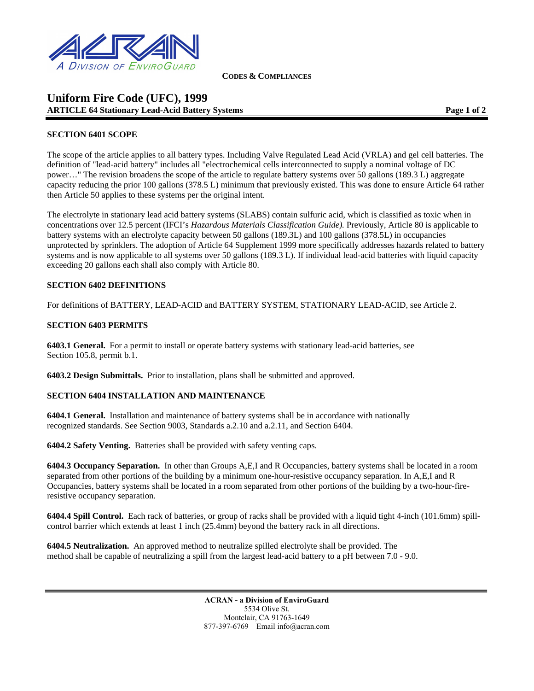

**CODES & COMPLIANCES**

## **Uniform Fire Code (UFC), 1999 ARTICLE 64 Stationary Lead-Acid Battery Systems Page 1 of 2 and 2 and 2 and 2 and 2 and 2 and 2 and 2 and 2 and 2 and 2 and 2 and 2 and 2 and 2 and 2 and 2 and 2 and 2 and 2 and 2 and 2 and 2 and 2 and 2 and 2 and 2 and 2**

## **SECTION 6401 SCOPE**

The scope of the article applies to all battery types. Including Valve Regulated Lead Acid (VRLA) and gel cell batteries. The definition of "lead-acid battery" includes all "electrochemical cells interconnected to supply a nominal voltage of DC power…" The revision broadens the scope of the article to regulate battery systems over 50 gallons (189.3 L) aggregate capacity reducing the prior 100 gallons (378.5 L) minimum that previously existed. This was done to ensure Article 64 rather then Article 50 applies to these systems per the original intent.

The electrolyte in stationary lead acid battery systems (SLABS) contain sulfuric acid, which is classified as toxic when in concentrations over 12.5 percent (IFCI's *Hazardous Materials Classification Guide).* Previously, Article 80 is applicable to battery systems with an electrolyte capacity between 50 gallons (189.3L) and 100 gallons (378.5L) in occupancies unprotected by sprinklers. The adoption of Article 64 Supplement 1999 more specifically addresses hazards related to battery systems and is now applicable to all systems over 50 gallons (189.3 L). If individual lead-acid batteries with liquid capacity exceeding 20 gallons each shall also comply with Article 80.

## **SECTION 6402 DEFINITIONS**

For definitions of BATTERY, LEAD-ACID and BATTERY SYSTEM, STATIONARY LEAD-ACID, see Article 2.

#### **SECTION 6403 PERMITS**

**6403.1 General.** For a permit to install or operate battery systems with stationary lead-acid batteries, see Section 105.8, permit b.1.

**6403.2 Design Submittals.** Prior to installation, plans shall be submitted and approved.

#### **SECTION 6404 INSTALLATION AND MAINTENANCE**

**6404.1 General.** Installation and maintenance of battery systems shall be in accordance with nationally recognized standards. See Section 9003, Standards a.2.10 and a.2.11, and Section 6404.

**6404.2 Safety Venting.** Batteries shall be provided with safety venting caps.

**6404.3 Occupancy Separation.** In other than Groups A,E,I and R Occupancies, battery systems shall be located in a room separated from other portions of the building by a minimum one-hour-resistive occupancy separation. In A,E,I and R Occupancies, battery systems shall be located in a room separated from other portions of the building by a two-hour-fireresistive occupancy separation.

**6404.4 Spill Control.** Each rack of batteries, or group of racks shall be provided with a liquid tight 4-inch (101.6mm) spillcontrol barrier which extends at least 1 inch (25.4mm) beyond the battery rack in all directions.

**6404.5 Neutralization.** An approved method to neutralize spilled electrolyte shall be provided. The method shall be capable of neutralizing a spill from the largest lead-acid battery to a pH between 7.0 - 9.0.

> **ACRAN - a Division of EnviroGuard** 5534 Olive St. Montclair, CA 91763-1649 877-397-6769 Email info@acran.com